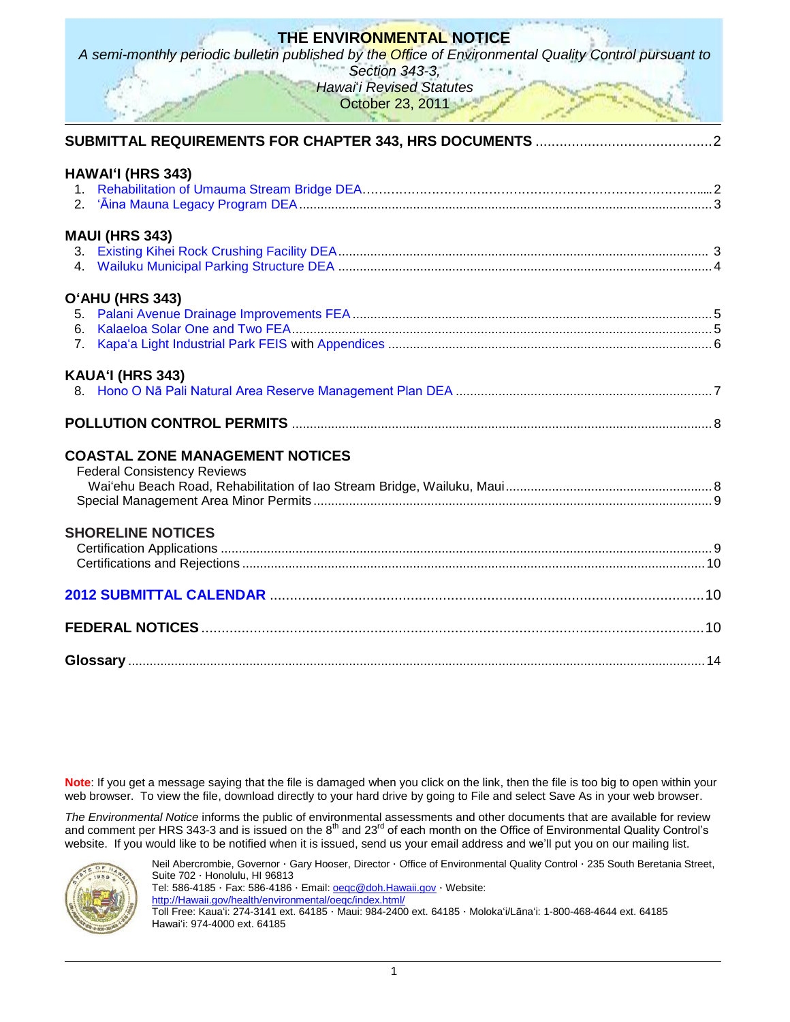|                                                                              | THE ENVIRONMENTAL NOTICE<br>A semi-monthly periodic bulletin published by the Office of Environmental Quality Control pursuant to |  |
|------------------------------------------------------------------------------|-----------------------------------------------------------------------------------------------------------------------------------|--|
|                                                                              | Section 343-3,<br><b>Hawai</b> i Revised Statutes<br>October 23, 2011                                                             |  |
|                                                                              |                                                                                                                                   |  |
| HAWAI'I (HRS 343)<br>2 <sub>1</sub>                                          |                                                                                                                                   |  |
| <b>MAUI (HRS 343)</b>                                                        |                                                                                                                                   |  |
| O'AHU (HRS 343)<br>6.<br>7 <sub>1</sub>                                      |                                                                                                                                   |  |
| KAUA'I (HRS 343)                                                             |                                                                                                                                   |  |
|                                                                              |                                                                                                                                   |  |
| <b>COASTAL ZONE MANAGEMENT NOTICES</b><br><b>Federal Consistency Reviews</b> |                                                                                                                                   |  |
| <b>SHORELINE NOTICES</b>                                                     |                                                                                                                                   |  |
|                                                                              |                                                                                                                                   |  |
|                                                                              |                                                                                                                                   |  |
|                                                                              |                                                                                                                                   |  |

**Note**: If you get a message saying that the file is damaged when you click on the link, then the file is too big to open within your web browser. To view the file, download directly to your hard drive by going to File and select Save As in your web browser.

*The Environmental Notice* informs the public of environmental assessments and other documents that are available for review and comment per HRS 343-3 and is issued on the  $8<sup>th</sup>$  and 23<sup>rd</sup> of each month on the Office of Environmental Quality Control's website. If you would like to be notified when it is issued, send us your email address and we'll put you on our mailing list.



Neil Abercrombie, Governor · Gary Hooser, Director · Office of Environmental Quality Control · 235 South Beretania Street, Suite 702 · Honolulu, HI 96813 Tel: 586-4185 · Fax: 586-4186 · Email: **oegc@doh.Hawaii.gov** · Website: [http://Hawaii.gov/health/environmental/oeqc/index.html/](http://hawaii.gov/health/environmental/oeqc/index.html/) Toll Free: Kauaʻi: 274-3141 ext. 64185 · Maui: 984-2400 ext. 64185 · Molokaʻi/Lānaʻi: 1-800-468-4644 ext. 64185 Hawaiʻi: 974-4000 ext. 64185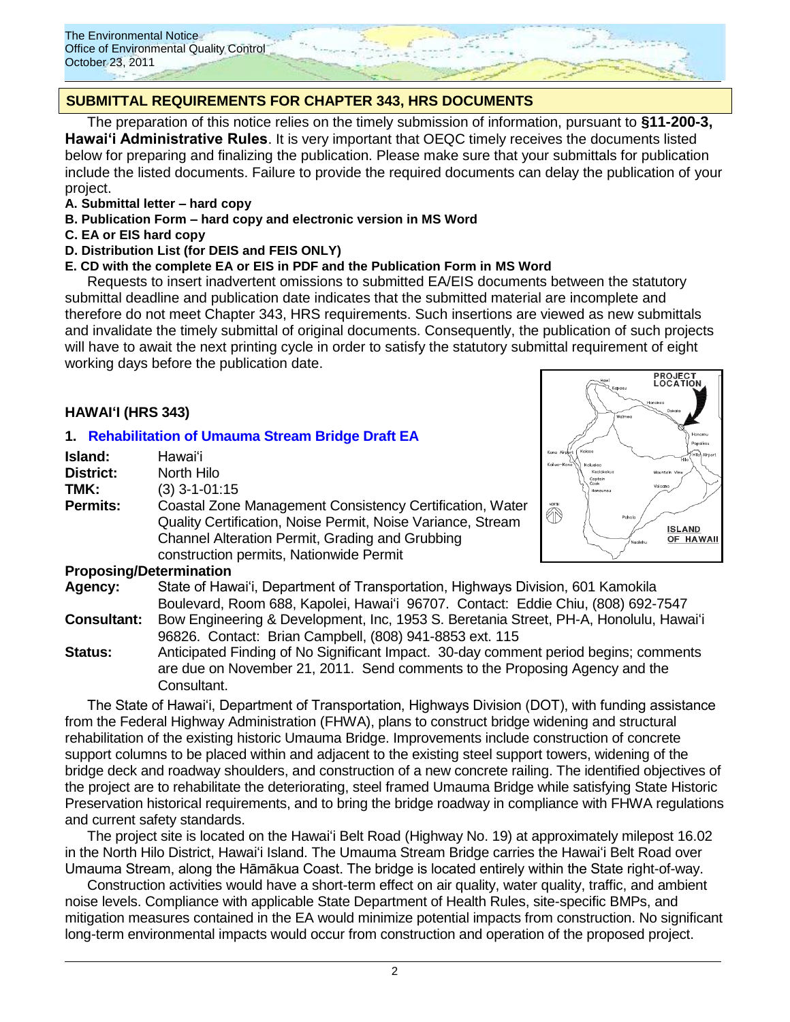

# **SUBMITTAL REQUIREMENTS FOR CHAPTER 343, HRS DOCUMENTS**

The preparation of this notice relies on the timely submission of information, pursuant to **§11-200-3, Hawaiʻi Administrative Rules**. It is very important that OEQC timely receives the documents listed below for preparing and finalizing the publication. Please make sure that your submittals for publication include the listed documents. Failure to provide the required documents can delay the publication of your project.

- **A. Submittal letter – hard copy**
- **B. Publication Form – hard copy and electronic version in MS Word**
- **C. EA or EIS hard copy**
- **D. Distribution List (for DEIS and FEIS ONLY)**

## **E. CD with the complete EA or EIS in PDF and the Publication Form in MS Word**

Requests to insert inadvertent omissions to submitted EA/EIS documents between the statutory submittal deadline and publication date indicates that the submitted material are incomplete and therefore do not meet Chapter 343, HRS requirements. Such insertions are viewed as new submittals and invalidate the timely submittal of original documents. Consequently, the publication of such projects will have to await the next printing cycle in order to satisfy the statutory submittal requirement of eight working days before the publication date.

## **HAWAIʻI (HRS 343)**

## **1. [Rehabilitation of Umauma Stream Bridge Draft EA](http://oeqc.doh.hawaii.gov/Shared%20Documents/EA_and_EIS_Online_Library/Hawaii/2010s/2011-10-23-DEA-Umauma-Stream-Bridge.pdf)**

| Island:         | Hawai'i                                                     |
|-----------------|-------------------------------------------------------------|
| District:       | North Hilo                                                  |
| TMK:            | $(3)$ 3-1-01:15                                             |
| <b>Permits:</b> | Coastal Zone Management Consistency Certification, Water    |
|                 | Quality Certification, Noise Permit, Noise Variance, Stream |
|                 | Channel Alteration Permit, Grading and Grubbing             |
|                 | construction permits, Nationwide Permit                     |



### **Proposing/Determination**

**Agency:** State of Hawai"i, Department of Transportation, Highways Division, 601 Kamokila Boulevard, Room 688, Kapolei, Hawaiʻi 96707. Contact: Eddie Chiu, (808) 692-7547

- **Consultant:** Bow Engineering & Development, Inc, 1953 S. Beretania Street, PH-A, Honolulu, Hawaiʻi 96826. Contact: Brian Campbell, (808) 941-8853 ext. 115
- **Status:** Anticipated Finding of No Significant Impact. 30-day comment period begins; comments are due on November 21, 2011. Send comments to the Proposing Agency and the Consultant.

The State of Hawai"i, Department of Transportation, Highways Division (DOT), with funding assistance from the Federal Highway Administration (FHWA), plans to construct bridge widening and structural rehabilitation of the existing historic Umauma Bridge. Improvements include construction of concrete support columns to be placed within and adjacent to the existing steel support towers, widening of the bridge deck and roadway shoulders, and construction of a new concrete railing. The identified objectives of the project are to rehabilitate the deteriorating, steel framed Umauma Bridge while satisfying State Historic Preservation historical requirements, and to bring the bridge roadway in compliance with FHWA regulations and current safety standards.

The project site is located on the Hawaiʻi Belt Road (Highway No. 19) at approximately milepost 16.02 in the North Hilo District, Hawaiʻi Island. The Umauma Stream Bridge carries the Hawaiʻi Belt Road over Umauma Stream, along the Hāmākua Coast. The bridge is located entirely within the State right-of-way.

Construction activities would have a short-term effect on air quality, water quality, traffic, and ambient noise levels. Compliance with applicable State Department of Health Rules, site-specific BMPs, and mitigation measures contained in the EA would minimize potential impacts from construction. No significant long-term environmental impacts would occur from construction and operation of the proposed project.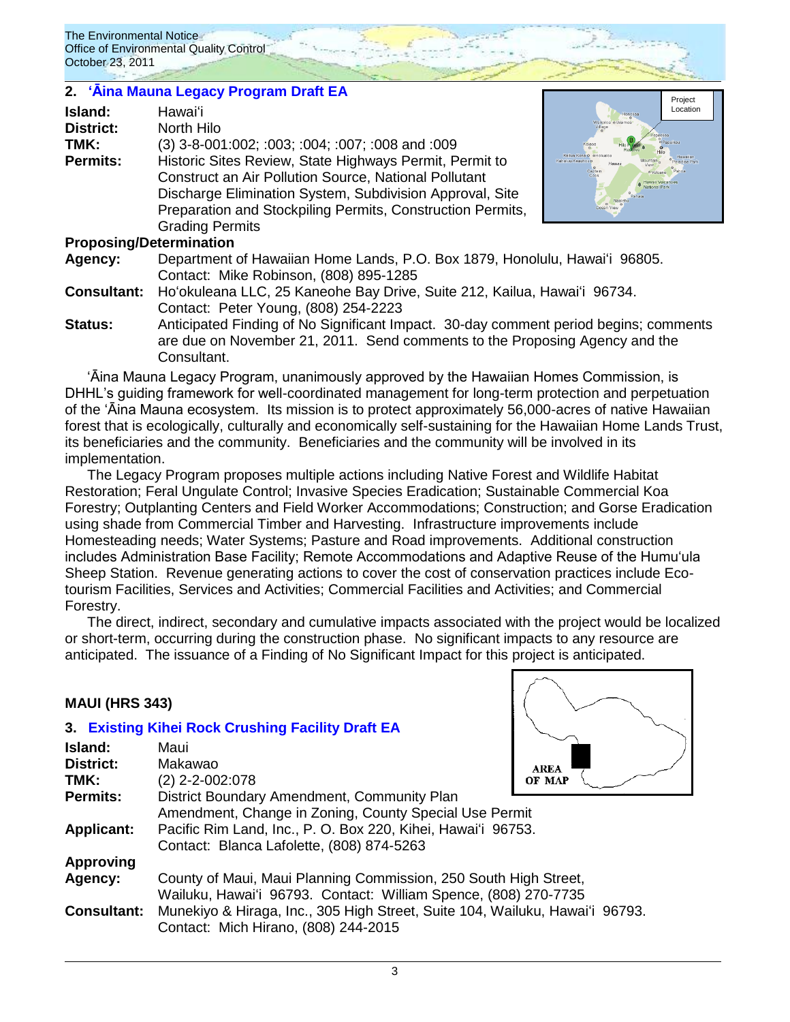# 2. **'Aina Mauna Legacy Program Draft EA**

| Island:          | Hawai'i                                                      |
|------------------|--------------------------------------------------------------|
| <b>District:</b> | North Hilo                                                   |
| TMK:             | (3) 3-8-001:002; :003; :004; :007; :008 and :009             |
| <b>Permits:</b>  | Historic Sites Review, State Highways Permit, Permit to      |
|                  | <b>Construct an Air Pollution Source, National Pollutant</b> |
|                  | Discharge Elimination System, Subdivision Approval, Site     |
|                  | Preparation and Stockpiling Permits, Construction Permits,   |
|                  | <b>Grading Permits</b>                                       |
|                  |                                                              |



### **Proposing/Determination**

**Agency:** Department of Hawaiian Home Lands, P.O. Box 1879, Honolulu, Hawaiʻi 96805. Contact: Mike Robinson, (808) 895-1285

**Consultant:** Hoʻokuleana LLC, 25 Kaneohe Bay Drive, Suite 212, Kailua, Hawaiʻi 96734. Contact: Peter Young, (808) 254-2223

**Status:** Anticipated Finding of No Significant Impact. 30-day comment period begins; comments are due on November 21, 2011. Send comments to the Proposing Agency and the Consultant.

ʻĀina Mauna Legacy Program, unanimously approved by the Hawaiian Homes Commission, is DHHL"s guiding framework for well-coordinated management for long-term protection and perpetuation of the ʻĀina Mauna ecosystem. Its mission is to protect approximately 56,000-acres of native Hawaiian forest that is ecologically, culturally and economically self-sustaining for the Hawaiian Home Lands Trust, its beneficiaries and the community. Beneficiaries and the community will be involved in its implementation.

The Legacy Program proposes multiple actions including Native Forest and Wildlife Habitat Restoration; Feral Ungulate Control; Invasive Species Eradication; Sustainable Commercial Koa Forestry; Outplanting Centers and Field Worker Accommodations; Construction; and Gorse Eradication using shade from Commercial Timber and Harvesting. Infrastructure improvements include Homesteading needs; Water Systems; Pasture and Road improvements. Additional construction includes Administration Base Facility; Remote Accommodations and Adaptive Reuse of the Humuʻula Sheep Station. Revenue generating actions to cover the cost of conservation practices include Ecotourism Facilities, Services and Activities; Commercial Facilities and Activities; and Commercial Forestry.

The direct, indirect, secondary and cumulative impacts associated with the project would be localized or short-term, occurring during the construction phase. No significant impacts to any resource are anticipated. The issuance of a Finding of No Significant Impact for this project is anticipated.

## **MAUI (HRS 343)**

## **3. [Existing Kihei Rock Crushing Facility Draft EA](http://oeqc.doh.hawaii.gov/Shared%20Documents/EA_and_EIS_Online_Library/Maui/2010s/2011-10-23-DEA-Kihei-Rock-Crushing-Facility.pdf)**

| Island:            | Maui                                                                         |             |  |
|--------------------|------------------------------------------------------------------------------|-------------|--|
| District:          | Makawao                                                                      | <b>AREA</b> |  |
| TMK:               | (2) 2-2-002:078                                                              | OF MAP      |  |
| <b>Permits:</b>    | District Boundary Amendment, Community Plan                                  |             |  |
|                    | Amendment, Change in Zoning, County Special Use Permit                       |             |  |
| <b>Applicant:</b>  | Pacific Rim Land, Inc., P. O. Box 220, Kihei, Hawai'i 96753.                 |             |  |
|                    | Contact: Blanca Lafolette, (808) 874-5263                                    |             |  |
| <b>Approving</b>   |                                                                              |             |  |
| Agency:            | County of Maui, Maui Planning Commission, 250 South High Street,             |             |  |
|                    | Wailuku, Hawai'i 96793. Contact: William Spence, (808) 270-7735              |             |  |
| <b>Consultant:</b> | Munekiyo & Hiraga, Inc., 305 High Street, Suite 104, Wailuku, Hawai'i 96793. |             |  |
|                    | Contact: Mich Hirano, (808) 244-2015                                         |             |  |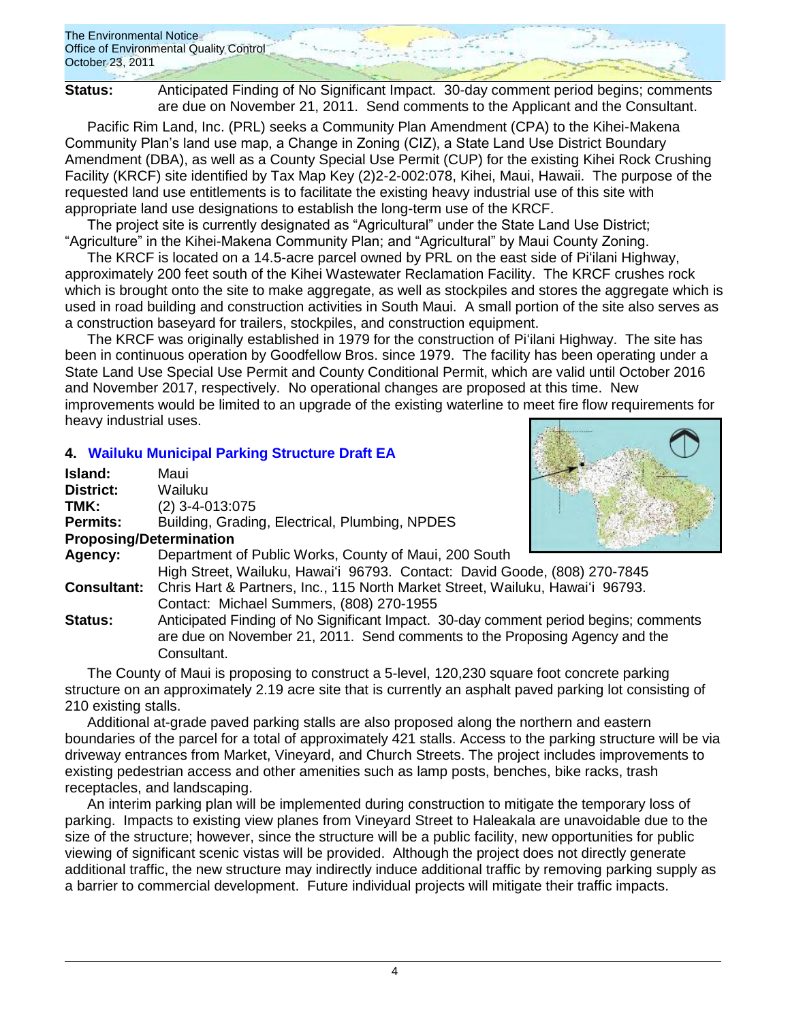The Environmental Notice Office of Environmental Quality Control October 23, 2011

**Status:** Anticipated Finding of No Significant Impact. 30-day comment period begins; comments are due on November 21, 2011. Send comments to the Applicant and the Consultant.

Pacific Rim Land, Inc. (PRL) seeks a Community Plan Amendment (CPA) to the Kihei-Makena Community Plan"s land use map, a Change in Zoning (CIZ), a State Land Use District Boundary Amendment (DBA), as well as a County Special Use Permit (CUP) for the existing Kihei Rock Crushing Facility (KRCF) site identified by Tax Map Key (2)2-2-002:078, Kihei, Maui, Hawaii. The purpose of the requested land use entitlements is to facilitate the existing heavy industrial use of this site with appropriate land use designations to establish the long-term use of the KRCF.

The project site is currently designated as "Agricultural" under the State Land Use District; "Agriculture" in the Kihei-Makena Community Plan; and "Agricultural" by Maui County Zoning.

The KRCF is located on a 14.5-acre parcel owned by PRL on the east side of Piʻilani Highway, approximately 200 feet south of the Kihei Wastewater Reclamation Facility. The KRCF crushes rock which is brought onto the site to make aggregate, as well as stockpiles and stores the aggregate which is used in road building and construction activities in South Maui. A small portion of the site also serves as a construction baseyard for trailers, stockpiles, and construction equipment.

The KRCF was originally established in 1979 for the construction of Piʻilani Highway. The site has been in continuous operation by Goodfellow Bros. since 1979. The facility has been operating under a State Land Use Special Use Permit and County Conditional Permit, which are valid until October 2016 and November 2017, respectively. No operational changes are proposed at this time. New improvements would be limited to an upgrade of the existing waterline to meet fire flow requirements for heavy industrial uses.

# **4. [Wailuku Municipal Parking Structure Draft EA](http://oeqc.doh.hawaii.gov/Shared%20Documents/EA_and_EIS_Online_Library/Maui/2010s/2011-10-23-DEA-Wailuku-Municipal-Parking.pdf)**

| Island:                        | Maui                                                                          |  |
|--------------------------------|-------------------------------------------------------------------------------|--|
| <b>District:</b>               | Wailuku                                                                       |  |
| TMK:                           | $(2)$ 3-4-013:075                                                             |  |
| <b>Permits:</b>                | Building, Grading, Electrical, Plumbing, NPDES                                |  |
| <b>Proposing/Determination</b> |                                                                               |  |
| Agency:                        | Department of Public Works, County of Maui, 200 South                         |  |
|                                | High Street, Wailuku, Hawai'i 96793. Contact: David Goode, (808) 270-7845     |  |
| <b>Consultant:</b>             | Chris Hart & Partners, Inc., 115 North Market Street, Wailuku, Hawai'i 96793. |  |
|                                | Contact: Michael Summers, (808) 270-1955                                      |  |

**Status:** Anticipated Finding of No Significant Impact. 30-day comment period begins; comments are due on November 21, 2011. Send comments to the Proposing Agency and the Consultant.

The County of Maui is proposing to construct a 5-level, 120,230 square foot concrete parking structure on an approximately 2.19 acre site that is currently an asphalt paved parking lot consisting of 210 existing stalls.

Additional at-grade paved parking stalls are also proposed along the northern and eastern boundaries of the parcel for a total of approximately 421 stalls. Access to the parking structure will be via driveway entrances from Market, Vineyard, and Church Streets. The project includes improvements to existing pedestrian access and other amenities such as lamp posts, benches, bike racks, trash receptacles, and landscaping.

An interim parking plan will be implemented during construction to mitigate the temporary loss of parking. Impacts to existing view planes from Vineyard Street to Haleakala are unavoidable due to the size of the structure; however, since the structure will be a public facility, new opportunities for public viewing of significant scenic vistas will be provided. Although the project does not directly generate additional traffic, the new structure may indirectly induce additional traffic by removing parking supply as a barrier to commercial development. Future individual projects will mitigate their traffic impacts.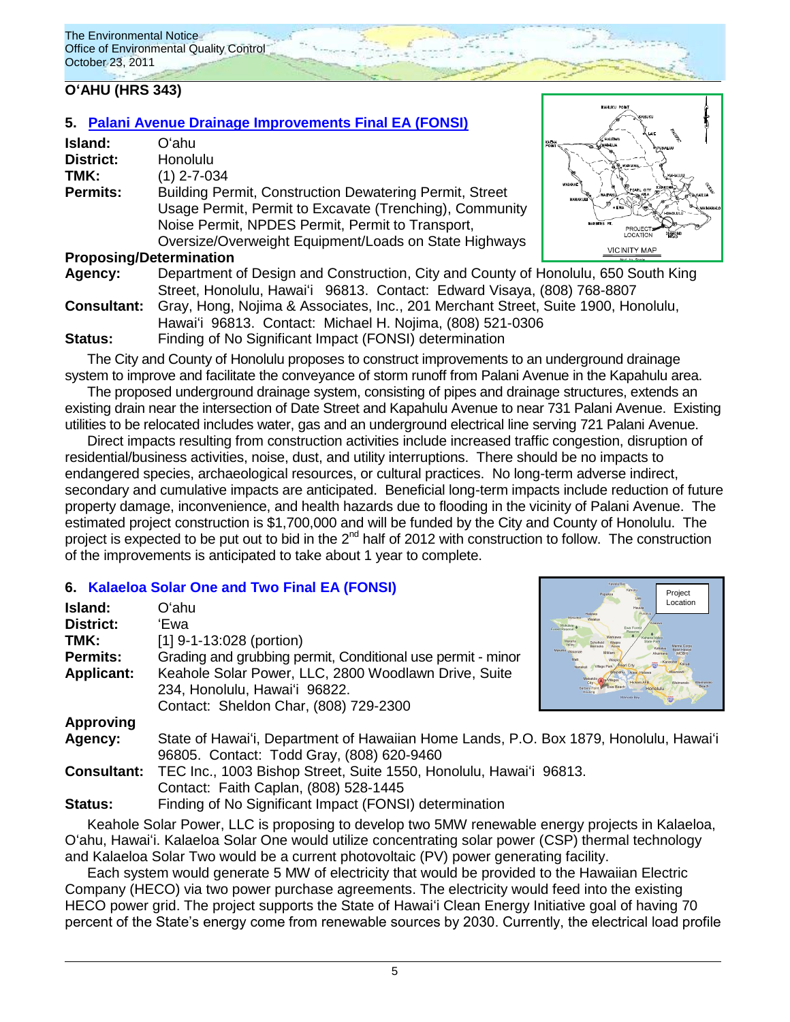# **OʻAHU (HRS 343)**

# **5. [Palani Avenue Drainage Improvements Final EA \(FONSI\)](http://oeqc.doh.hawaii.gov/Shared%20Documents/EA_and_EIS_Online_Library/Oahu/2010s/2011-10-23-FEA-Palani-Avenue-Drainage-Improvements.pdf)**

| Island:          | Oʻahu                                                                                                                                                                                                                                  | <b>KADIA</b> |
|------------------|----------------------------------------------------------------------------------------------------------------------------------------------------------------------------------------------------------------------------------------|--------------|
| <b>District:</b> | Honolulu                                                                                                                                                                                                                               |              |
| TMK:             | $(1)$ 2-7-034                                                                                                                                                                                                                          |              |
| <b>Permits:</b>  | <b>Building Permit, Construction Dewatering Permit, Street</b><br>Usage Permit, Permit to Excavate (Trenching), Community<br>Noise Permit, NPDES Permit, Permit to Transport,<br>Oversize/Overweight Equipment/Loads on State Highways |              |
|                  | <b>Proposing/Determination</b>                                                                                                                                                                                                         |              |
| $A - 1 - 1 - 1$  | Department of Design and Construction City and County of Llon                                                                                                                                                                          |              |



Hawaiʻi 96813. Contact: Michael H. Nojima, (808) 521-0306 **Status:** Finding of No Significant Impact (FONSI) determination

The City and County of Honolulu proposes to construct improvements to an underground drainage system to improve and facilitate the conveyance of storm runoff from Palani Avenue in the Kapahulu area.

The proposed underground drainage system, consisting of pipes and drainage structures, extends an existing drain near the intersection of Date Street and Kapahulu Avenue to near 731 Palani Avenue. Existing utilities to be relocated includes water, gas and an underground electrical line serving 721 Palani Avenue.

Direct impacts resulting from construction activities include increased traffic congestion, disruption of residential/business activities, noise, dust, and utility interruptions. There should be no impacts to endangered species, archaeological resources, or cultural practices. No long-term adverse indirect, secondary and cumulative impacts are anticipated. Beneficial long-term impacts include reduction of future property damage, inconvenience, and health hazards due to flooding in the vicinity of Palani Avenue. The estimated project construction is \$1,700,000 and will be funded by the City and County of Honolulu. The project is expected to be put out to bid in the 2<sup>nd</sup> half of 2012 with construction to follow. The construction of the improvements is anticipated to take about 1 year to complete.

# **6. [Kalaeloa Solar One and Two](http://oeqc.doh.hawaii.gov/Shared%20Documents/EA_and_EIS_Online_Library/Oahu/2010s/2011-10-23-FEA-Kalaeloa-Solar-One-and-Two.pdf) Final EA (FONSI)**

| 0. TWICCIOG OORL OTHER IN THE LING EARLY ONG. |                                                                                       | Project                       |
|-----------------------------------------------|---------------------------------------------------------------------------------------|-------------------------------|
| Island:                                       | Oʻahu                                                                                 | Location<br>Hauura<br>Punklus |
| <b>District:</b>                              | 'Ewa                                                                                  | Ewa Ford<br>Forest Reserv     |
| TMK:                                          | $[1]$ 9-1-13:028 (portion)                                                            |                               |
| <b>Permits:</b>                               | Grading and grubbing permit, Conditional use permit - minor                           |                               |
| <b>Applicant:</b>                             | Keahole Solar Power, LLC, 2800 Woodlawn Drive, Suite                                  |                               |
|                                               | 234, Honolulu, Hawai'i 96822.                                                         | Mamata Bar                    |
|                                               | Contact: Sheldon Char, (808) 729-2300                                                 |                               |
| <b>Approving</b>                              |                                                                                       |                               |
| Agency:                                       | State of Hawai'i, Department of Hawaiian Home Lands, P.O. Box 1879, Honolulu, Hawai'i |                               |
|                                               | 96805. Contact: Todd Gray, (808) 620-9460                                             |                               |
| <b>Consultant:</b>                            | TEC Inc., 1003 Bishop Street, Suite 1550, Honolulu, Hawai'i 96813.                    |                               |
|                                               | Contact: Faith Caplan, (808) 528-1445                                                 |                               |
| <b>Status:</b>                                | Finding of No Significant Impact (FONSI) determination                                |                               |

Keahole Solar Power, LLC is proposing to develop two 5MW renewable energy projects in Kalaeloa, Oʻahu, Hawaiʻi. Kalaeloa Solar One would utilize concentrating solar power (CSP) thermal technology and Kalaeloa Solar Two would be a current photovoltaic (PV) power generating facility.

Each system would generate 5 MW of electricity that would be provided to the Hawaiian Electric Company (HECO) via two power purchase agreements. The electricity would feed into the existing HECO power grid. The project supports the State of Hawaiʻi Clean Energy Initiative goal of having 70 percent of the State"s energy come from renewable sources by 2030. Currently, the electrical load profile

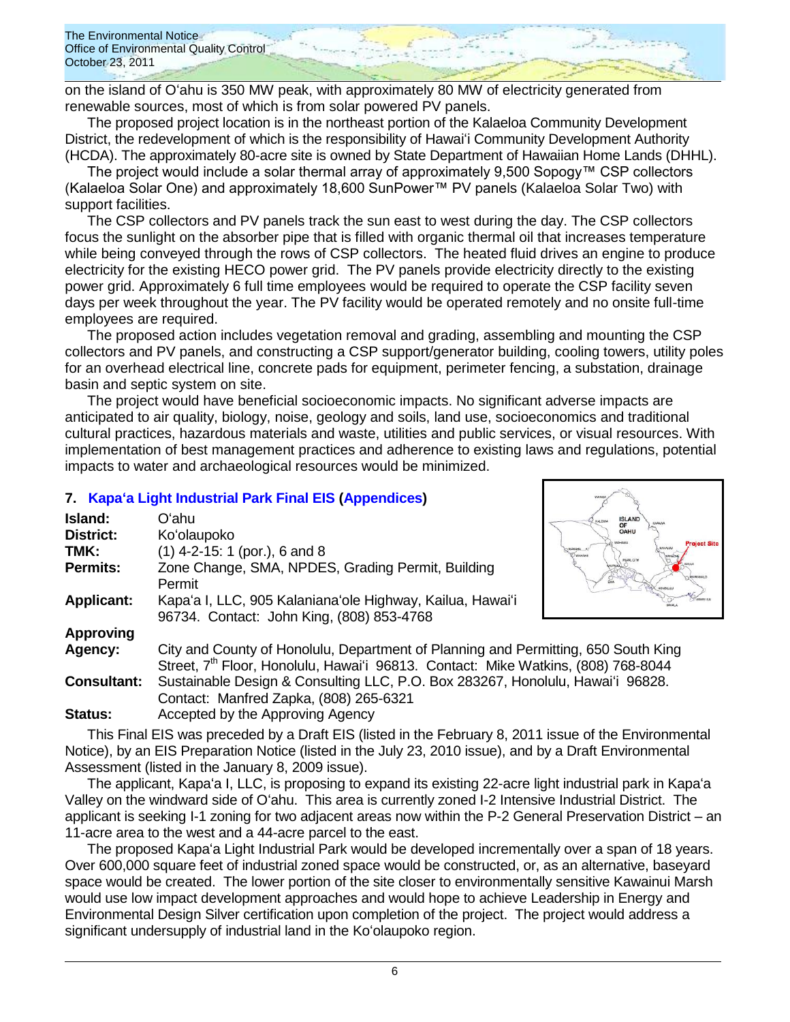on the island of Oʻahu is 350 MW peak, with approximately 80 MW of electricity generated from renewable sources, most of which is from solar powered PV panels.

The proposed project location is in the northeast portion of the Kalaeloa Community Development District, the redevelopment of which is the responsibility of Hawaiʻi Community Development Authority (HCDA). The approximately 80-acre site is owned by State Department of Hawaiian Home Lands (DHHL).

The project would include a solar thermal array of approximately 9,500 Sopogy™ CSP collectors (Kalaeloa Solar One) and approximately 18,600 SunPower™ PV panels (Kalaeloa Solar Two) with support facilities.

The CSP collectors and PV panels track the sun east to west during the day. The CSP collectors focus the sunlight on the absorber pipe that is filled with organic thermal oil that increases temperature while being conveyed through the rows of CSP collectors. The heated fluid drives an engine to produce electricity for the existing HECO power grid. The PV panels provide electricity directly to the existing power grid. Approximately 6 full time employees would be required to operate the CSP facility seven days per week throughout the year. The PV facility would be operated remotely and no onsite full-time employees are required.

The proposed action includes vegetation removal and grading, assembling and mounting the CSP collectors and PV panels, and constructing a CSP support/generator building, cooling towers, utility poles for an overhead electrical line, concrete pads for equipment, perimeter fencing, a substation, drainage basin and septic system on site.

The project would have beneficial socioeconomic impacts. No significant adverse impacts are anticipated to air quality, biology, noise, geology and soils, land use, socioeconomics and traditional cultural practices, hazardous materials and waste, utilities and public services, or visual resources. With implementation of best management practices and adherence to existing laws and regulations, potential impacts to water and archaeological resources would be minimized.

## **7. [Kapaʻa Light Industrial Park Final EIS](http://oeqc.doh.hawaii.gov/Shared%20Documents/EA_and_EIS_Online_Library/Oahu/2010s/2011-10-23-FEIS-Kapaa-Light-Industrial-Park.pdf) [\(Appendices\)](http://oeqc.doh.hawaii.gov/Shared%20Documents/EA_and_EIS_Online_Library/Oahu/2010s/2011-10-23-FEIS-Kapaa-Light-Industrial-Park-Appendices.pdf)**

| Island:            | Oʻahu                                                                                         | <b>ISLAND</b><br>OF      |
|--------------------|-----------------------------------------------------------------------------------------------|--------------------------|
| <b>District:</b>   | Ko'olaupoko                                                                                   | OAHU                     |
| TMK:               | $(1)$ 4-2-15: 1 (por.), 6 and 8                                                               | <b>MAKAHA</b><br>WASHING |
| <b>Permits:</b>    | Zone Change, SMA, NPDES, Grading Permit, Building                                             |                          |
|                    | Permit                                                                                        |                          |
| <b>Applicant:</b>  | Kapa'a I, LLC, 905 Kalaniana'ole Highway, Kailua, Hawai'i                                     |                          |
|                    | 96734. Contact: John King, (808) 853-4768                                                     |                          |
| <b>Approving</b>   |                                                                                               |                          |
| Agency:            | City and County of Honolulu, Department of Planning and Permitting, 650 South King            |                          |
|                    | Street, 7 <sup>th</sup> Floor, Honolulu, Hawai'i 96813. Contact: Mike Watkins, (808) 768-8044 |                          |
| <b>Consultant:</b> | Sustainable Design & Consulting LLC, P.O. Box 283267, Honolulu, Hawai'i 96828.                |                          |
|                    | Contact: Monfred Zanke (808) OFF 6221                                                         |                          |

Contact: Manfred Zapka, (808) 265-6321 **Status:** Accepted by the Approving Agency

This Final EIS was preceded by a Draft EIS (listed in the February 8, 2011 issue of the Environmental Notice), by an EIS Preparation Notice (listed in the July 23, 2010 issue), and by a Draft Environmental Assessment (listed in the January 8, 2009 issue).

The applicant, Kapaʻa I, LLC, is proposing to expand its existing 22-acre light industrial park in Kapaʻa Valley on the windward side of Oʻahu. This area is currently zoned I-2 Intensive Industrial District. The applicant is seeking I-1 zoning for two adjacent areas now within the P-2 General Preservation District – an 11-acre area to the west and a 44-acre parcel to the east.

The proposed Kapaʻa Light Industrial Park would be developed incrementally over a span of 18 years. Over 600,000 square feet of industrial zoned space would be constructed, or, as an alternative, baseyard space would be created. The lower portion of the site closer to environmentally sensitive Kawainui Marsh would use low impact development approaches and would hope to achieve Leadership in Energy and Environmental Design Silver certification upon completion of the project. The project would address a significant undersupply of industrial land in the Koʻolaupoko region.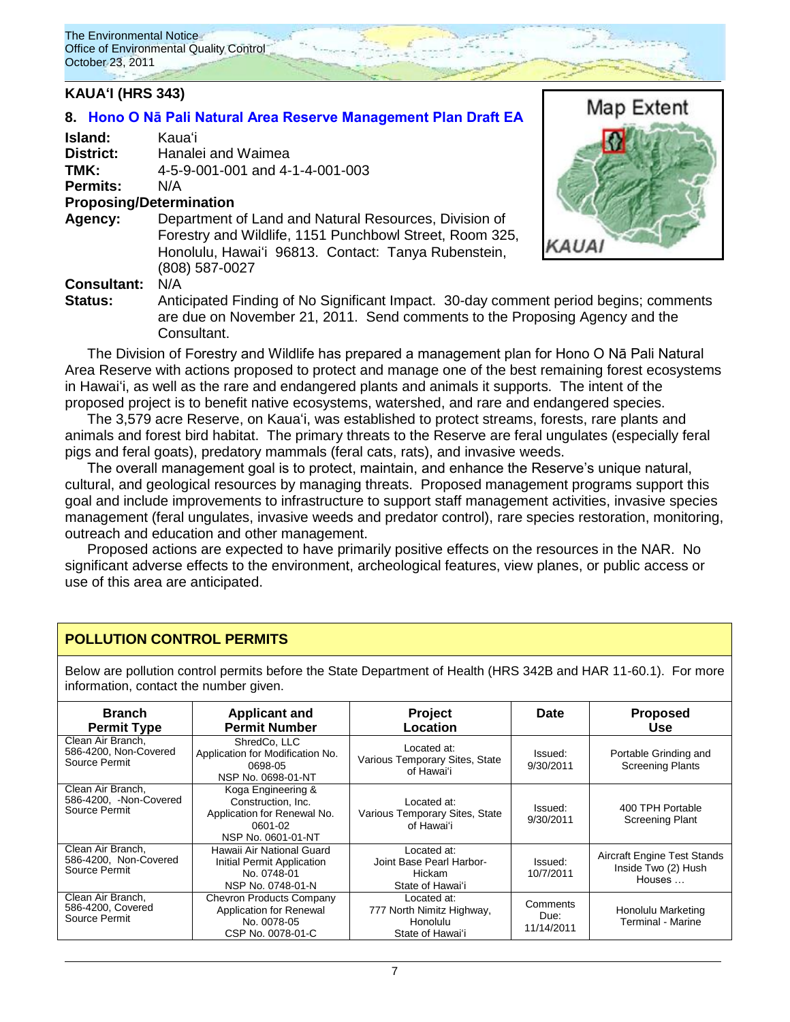## **KAUAʻI (HRS 343)**

## **8. [Hono O Nā Pali Natural Area Reserve Management Plan Draft EA](http://oeqc.doh.hawaii.gov/Shared%20Documents/EA_and_EIS_Online_Library/Kauai/2010s/2011-10-23-DEA-Hono-O-Na-Pali-Reserve.pdf)**

| Island:         | Kauaʻi                          |
|-----------------|---------------------------------|
| District:       | Hanalei and Waimea              |
| TMK:            | 4-5-9-001-001 and 4-1-4-001-003 |
| <b>Permits:</b> | N/A                             |

### **Proposing/Determination**

**Agency:** Department of Land and Natural Resources, Division of Forestry and Wildlife, 1151 Punchbowl Street, Room 325, Honolulu, Hawaiʻi 96813. Contact: Tanya Rubenstein, (808) 587-0027



## **Consultant:** N/A

**Status:** Anticipated Finding of No Significant Impact. 30-day comment period begins; comments are due on November 21, 2011. Send comments to the Proposing Agency and the Consultant.

The Division of Forestry and Wildlife has prepared a management plan for Hono O Nā Pali Natural Area Reserve with actions proposed to protect and manage one of the best remaining forest ecosystems in Hawaiʻi, as well as the rare and endangered plants and animals it supports. The intent of the proposed project is to benefit native ecosystems, watershed, and rare and endangered species.

The 3,579 acre Reserve, on Kauaʻi, was established to protect streams, forests, rare plants and animals and forest bird habitat. The primary threats to the Reserve are feral ungulates (especially feral pigs and feral goats), predatory mammals (feral cats, rats), and invasive weeds.

The overall management goal is to protect, maintain, and enhance the Reserve"s unique natural, cultural, and geological resources by managing threats. Proposed management programs support this goal and include improvements to infrastructure to support staff management activities, invasive species management (feral ungulates, invasive weeds and predator control), rare species restoration, monitoring, outreach and education and other management.

Proposed actions are expected to have primarily positive effects on the resources in the NAR. No significant adverse effects to the environment, archeological features, view planes, or public access or use of this area are anticipated.

## **POLLUTION CONTROL PERMITS**

Below are pollution control permits before the State Department of Health (HRS 342B and HAR 11-60.1). For more information, contact the number given.

| <b>Branch</b><br><b>Permit Type</b>                          | <b>Applicant and</b><br><b>Permit Number</b>                                                             | Project<br>Location                                                      | Date                           | <b>Proposed</b><br><b>Use</b>                                       |
|--------------------------------------------------------------|----------------------------------------------------------------------------------------------------------|--------------------------------------------------------------------------|--------------------------------|---------------------------------------------------------------------|
| Clean Air Branch.<br>586-4200, Non-Covered<br>Source Permit  | ShredCo, LLC<br>Application for Modification No.<br>0698-05<br>NSP No. 0698-01-NT                        | Located at:<br>Various Temporary Sites, State<br>of Hawaiʻi              | Issued:<br>9/30/2011           | Portable Grinding and<br><b>Screening Plants</b>                    |
| Clean Air Branch.<br>586-4200, -Non-Covered<br>Source Permit | Koga Engineering &<br>Construction, Inc.<br>Application for Renewal No.<br>0601-02<br>NSP No. 0601-01-NT | Located at:<br>Various Temporary Sites, State<br>of Hawai'i              | Issued:<br>9/30/2011           | 400 TPH Portable<br>Screening Plant                                 |
| Clean Air Branch.<br>586-4200, Non-Covered<br>Source Permit  | Hawaii Air National Guard<br>Initial Permit Application<br>No. 0748-01<br>NSP No. 0748-01-N              | Located at:<br>Joint Base Pearl Harbor-<br>Hickam<br>State of Hawai'i    | Issued:<br>10/7/2011           | <b>Aircraft Engine Test Stands</b><br>Inside Two (2) Hush<br>Houses |
| Clean Air Branch.<br>586-4200, Covered<br>Source Permit      | <b>Chevron Products Company</b><br>Application for Renewal<br>No. 0078-05<br>CSP No. 0078-01-C           | Located at:<br>777 North Nimitz Highway,<br>Honolulu<br>State of Hawai'i | Comments<br>Due:<br>11/14/2011 | Honolulu Marketing<br><b>Terminal - Marine</b>                      |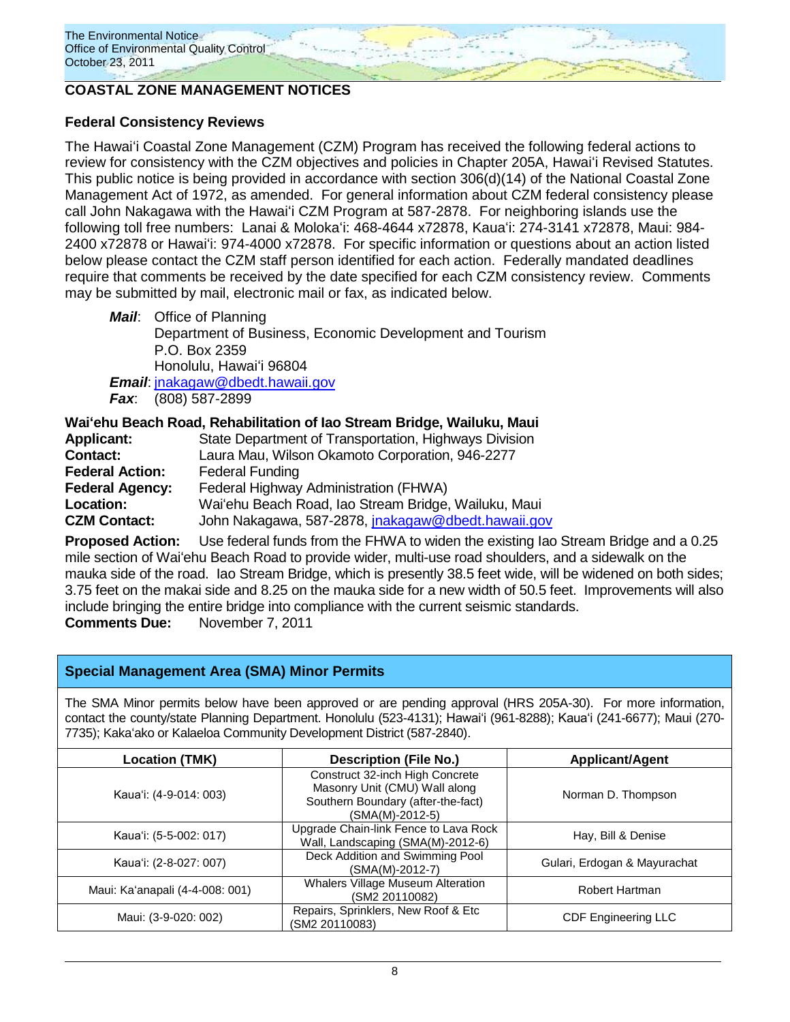

## **COASTAL ZONE MANAGEMENT NOTICES**

## **Federal Consistency Reviews**

The Hawaiʻi Coastal Zone Management (CZM) Program has received the following federal actions to review for consistency with the CZM objectives and policies in Chapter 205A, Hawaiʻi Revised Statutes. This public notice is being provided in accordance with section 306(d)(14) of the National Coastal Zone Management Act of 1972, as amended. For general information about CZM federal consistency please call John Nakagawa with the Hawaiʻi CZM Program at 587-2878. For neighboring islands use the following toll free numbers: Lanai & Molokaʻi: 468-4644 x72878, Kauaʻi: 274-3141 x72878, Maui: 984- 2400 x72878 or Hawaiʻi: 974-4000 x72878. For specific information or questions about an action listed below please contact the CZM staff person identified for each action. Federally mandated deadlines require that comments be received by the date specified for each CZM consistency review. Comments may be submitted by mail, electronic mail or fax, as indicated below.

*Mail*: Office of Planning Department of Business, Economic Development and Tourism P.O. Box 2359 Honolulu, Hawaiʻi 96804 *Email*: [jnakagaw@dbedt.hawaii.gov](mailto:jnakagaw@dbedt.hawaii.gov) *Fax*: (808) 587-2899

**Waiʻehu Beach Road, Rehabilitation of Iao Stream Bridge, Wailuku, Maui**

| <b>Applicant:</b>      | State Department of Transportation, Highways Division     |
|------------------------|-----------------------------------------------------------|
| <b>Contact:</b>        | Laura Mau, Wilson Okamoto Corporation, 946-2277           |
| <b>Federal Action:</b> | <b>Federal Funding</b>                                    |
| <b>Federal Agency:</b> | Federal Highway Administration (FHWA)                     |
| Location:              | Wai'ehu Beach Road, Iao Stream Bridge, Wailuku, Maui      |
| <b>CZM Contact:</b>    | John Nakagawa, 587-2878, <i>inakagaw@dbedt.hawaii.gov</i> |

**Proposed Action:** Use federal funds from the FHWA to widen the existing Iao Stream Bridge and a 0.25 mile section of Waiʻehu Beach Road to provide wider, multi-use road shoulders, and a sidewalk on the mauka side of the road. Iao Stream Bridge, which is presently 38.5 feet wide, will be widened on both sides; 3.75 feet on the makai side and 8.25 on the mauka side for a new width of 50.5 feet. Improvements will also include bringing the entire bridge into compliance with the current seismic standards. **Comments Due:** November 7, 2011

## **Special Management Area (SMA) Minor Permits**

The SMA Minor permits below have been approved or are pending approval (HRS 205A-30). For more information, contact the county/state Planning Department. Honolulu (523-4131); Hawai'i (961-8288); Kaua'i (241-6677); Maui (270-7735); Kakaʻako or Kalaeloa Community Development District (587-2840).

| <b>Location (TMK)</b>           | <b>Description (File No.)</b>                                                                                             | <b>Applicant/Agent</b>       |
|---------------------------------|---------------------------------------------------------------------------------------------------------------------------|------------------------------|
| Kaua'i: (4-9-014: 003)          | Construct 32-inch High Concrete<br>Masonry Unit (CMU) Wall along<br>Southern Boundary (after-the-fact)<br>(SMA(M)-2012-5) | Norman D. Thompson           |
| Kaua'i: (5-5-002: 017)          | Upgrade Chain-link Fence to Lava Rock<br>Wall, Landscaping (SMA(M)-2012-6)                                                | Hay, Bill & Denise           |
| Kaua'i: (2-8-027: 007)          | Deck Addition and Swimming Pool<br>(SMA(M)-2012-7)                                                                        | Gulari, Erdogan & Mayurachat |
| Maui: Ka'anapali (4-4-008: 001) | <b>Whalers Village Museum Alteration</b><br>(SM2 20110082)                                                                | Robert Hartman               |
| Maui: (3-9-020: 002)            | Repairs, Sprinklers, New Roof & Etc<br>(SM2 20110083)                                                                     | <b>CDF Engineering LLC</b>   |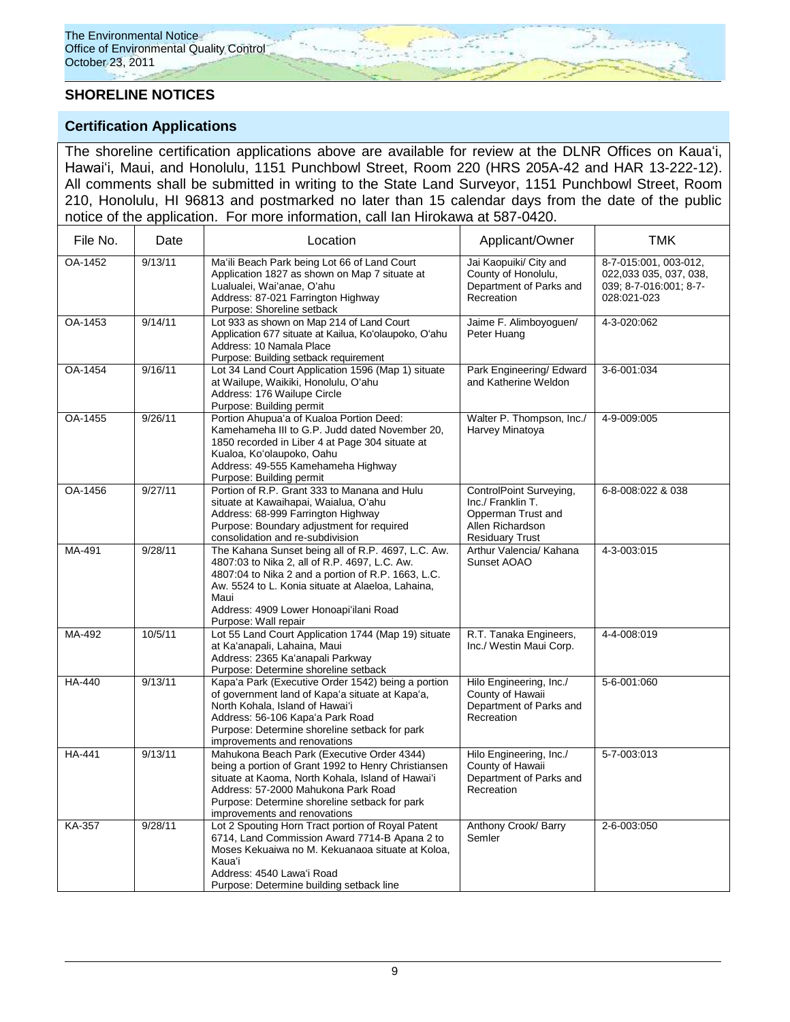# **SHORELINE NOTICES**

## **Certification Applications**

The shoreline certification applications above are available for review at the DLNR Offices on Kauaʻi, Hawaiʻi, Maui, and Honolulu, 1151 Punchbowl Street, Room 220 (HRS 205A-42 and HAR 13-222-12). All comments shall be submitted in writing to the State Land Surveyor, 1151 Punchbowl Street, Room 210, Honolulu, HI 96813 and postmarked no later than 15 calendar days from the date of the public notice of the application. For more information, call Ian Hirokawa at 587-0420.

| File No.      | Date    | Location                                                                                                                                                                                                                                                                                 | Applicant/Owner                                                                                                  | <b>TMK</b>                                                                               |
|---------------|---------|------------------------------------------------------------------------------------------------------------------------------------------------------------------------------------------------------------------------------------------------------------------------------------------|------------------------------------------------------------------------------------------------------------------|------------------------------------------------------------------------------------------|
| OA-1452       | 9/13/11 | Ma'ili Beach Park being Lot 66 of Land Court<br>Application 1827 as shown on Map 7 situate at<br>Lualualei, Wai'anae, O'ahu<br>Address: 87-021 Farrington Highway<br>Purpose: Shoreline setback                                                                                          | Jai Kaopuiki/ City and<br>County of Honolulu,<br>Department of Parks and<br>Recreation                           | 8-7-015:001, 003-012,<br>022,033 035, 037, 038,<br>039; 8-7-016:001; 8-7-<br>028:021-023 |
| OA-1453       | 9/14/11 | Lot 933 as shown on Map 214 of Land Court<br>Application 677 situate at Kailua, Ko'olaupoko, O'ahu<br>Address: 10 Namala Place<br>Purpose: Building setback requirement                                                                                                                  | Jaime F. Alimboyoguen/<br>Peter Huang                                                                            | 4-3-020:062                                                                              |
| OA-1454       | 9/16/11 | Lot 34 Land Court Application 1596 (Map 1) situate<br>at Wailupe, Waikiki, Honolulu, O'ahu<br>Address: 176 Wailupe Circle<br>Purpose: Building permit                                                                                                                                    | Park Engineering/ Edward<br>and Katherine Weldon                                                                 | 3-6-001:034                                                                              |
| OA-1455       | 9/26/11 | Portion Ahupua'a of Kualoa Portion Deed:<br>Kamehameha III to G.P. Judd dated November 20,<br>1850 recorded in Liber 4 at Page 304 situate at<br>Kualoa, Ko'olaupoko, Oahu<br>Address: 49-555 Kamehameha Highway<br>Purpose: Building permit                                             | Walter P. Thompson, Inc./<br>Harvey Minatoya                                                                     | 4-9-009:005                                                                              |
| OA-1456       | 9/27/11 | Portion of R.P. Grant 333 to Manana and Hulu<br>situate at Kawaihapai, Waialua, O'ahu<br>Address: 68-999 Farrington Highway<br>Purpose: Boundary adjustment for required<br>consolidation and re-subdivision                                                                             | ControlPoint Surveying,<br>Inc./ Franklin T.<br>Opperman Trust and<br>Allen Richardson<br><b>Residuary Trust</b> | 6-8-008:022 & 038                                                                        |
| MA-491        | 9/28/11 | The Kahana Sunset being all of R.P. 4697, L.C. Aw.<br>4807:03 to Nika 2, all of R.P. 4697, L.C. Aw.<br>4807:04 to Nika 2 and a portion of R.P. 1663, L.C.<br>Aw. 5524 to L. Konia situate at Alaeloa, Lahaina,<br>Maui<br>Address: 4909 Lower Honoapi'ilani Road<br>Purpose: Wall repair | Arthur Valencia/ Kahana<br>Sunset AOAO                                                                           | 4-3-003:015                                                                              |
| MA-492        | 10/5/11 | Lot 55 Land Court Application 1744 (Map 19) situate<br>at Ka'anapali, Lahaina, Maui<br>Address: 2365 Ka'anapali Parkway<br>Purpose: Determine shoreline setback                                                                                                                          | R.T. Tanaka Engineers,<br>Inc./ Westin Maui Corp.                                                                | 4-4-008:019                                                                              |
| <b>HA-440</b> | 9/13/11 | Kapa'a Park (Executive Order 1542) being a portion<br>of government land of Kapa'a situate at Kapa'a,<br>North Kohala, Island of Hawai'i<br>Address: 56-106 Kapa'a Park Road<br>Purpose: Determine shoreline setback for park<br>improvements and renovations                            | Hilo Engineering, Inc./<br>County of Hawaii<br>Department of Parks and<br>Recreation                             | 5-6-001:060                                                                              |
| <b>HA-441</b> | 9/13/11 | Mahukona Beach Park (Executive Order 4344)<br>being a portion of Grant 1992 to Henry Christiansen<br>situate at Kaoma, North Kohala, Island of Hawai'i<br>Address: 57-2000 Mahukona Park Road<br>Purpose: Determine shoreline setback for park<br>improvements and renovations           | Hilo Engineering, Inc./<br>County of Hawaii<br>Department of Parks and<br>Recreation                             | 5-7-003:013                                                                              |
| <b>KA-357</b> | 9/28/11 | Lot 2 Spouting Horn Tract portion of Royal Patent<br>6714, Land Commission Award 7714-B Apana 2 to<br>Moses Kekuaiwa no M. Kekuanaoa situate at Koloa,<br>Kauaʻi<br>Address: 4540 Lawa'i Road<br>Purpose: Determine building setback line                                                | Anthony Crook/ Barry<br>Semler                                                                                   | 2-6-003:050                                                                              |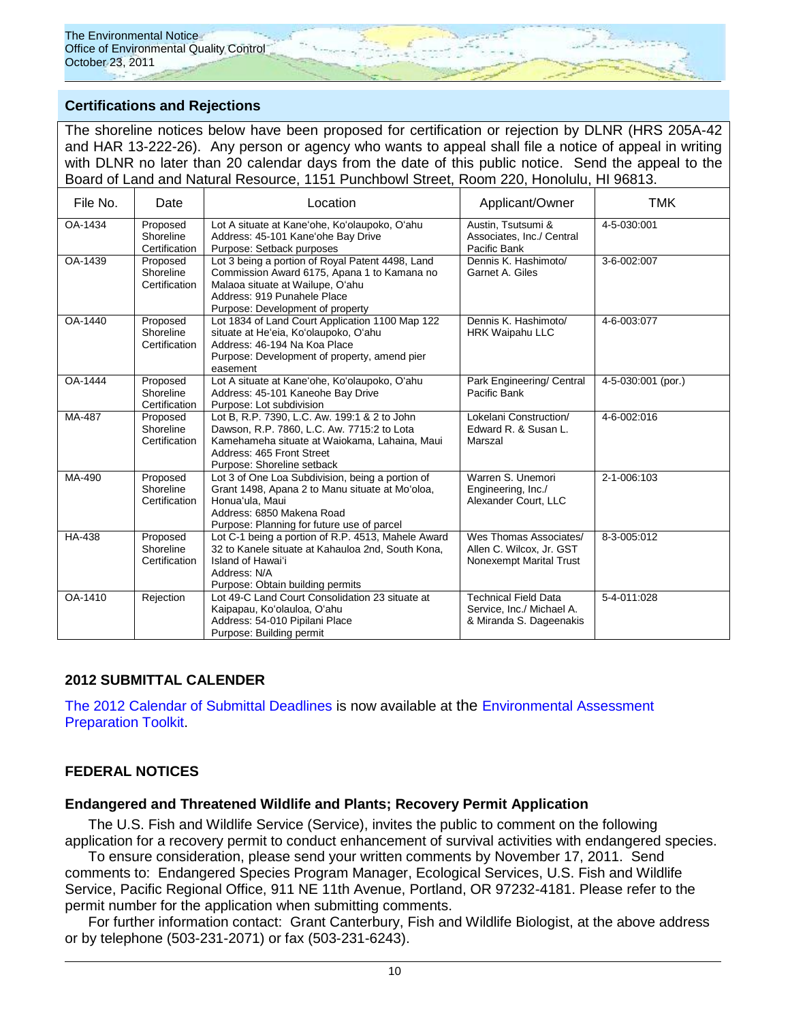

## **Certifications and Rejections**

The shoreline notices below have been proposed for certification or rejection by DLNR (HRS 205A-42 and HAR 13-222-26). Any person or agency who wants to appeal shall file a notice of appeal in writing with DLNR no later than 20 calendar days from the date of this public notice. Send the appeal to the Board of Land and Natural Resource, 1151 Punchbowl Street, Room 220, Honolulu, HI 96813.

| File No.      | Date                                   | Location                                                                                                                                                                                               | Applicant/Owner                                                                     | <b>TMK</b>         |
|---------------|----------------------------------------|--------------------------------------------------------------------------------------------------------------------------------------------------------------------------------------------------------|-------------------------------------------------------------------------------------|--------------------|
| OA-1434       | Proposed<br>Shoreline<br>Certification | Lot A situate at Kane'ohe, Ko'olaupoko, O'ahu<br>Address: 45-101 Kane'ohe Bay Drive<br>Purpose: Setback purposes                                                                                       | Austin, Tsutsumi &<br>Associates, Inc./ Central<br>Pacific Bank                     | 4-5-030:001        |
| OA-1439       | Proposed<br>Shoreline<br>Certification | Lot 3 being a portion of Royal Patent 4498, Land<br>Commission Award 6175, Apana 1 to Kamana no<br>Malaoa situate at Wailupe, O'ahu<br>Address: 919 Punahele Place<br>Purpose: Development of property | Dennis K. Hashimoto/<br>Garnet A. Giles                                             | 3-6-002:007        |
| OA-1440       | Proposed<br>Shoreline<br>Certification | Lot 1834 of Land Court Application 1100 Map 122<br>situate at He'eia, Ko'olaupoko, O'ahu<br>Address: 46-194 Na Koa Place<br>Purpose: Development of property, amend pier<br>easement                   | Dennis K. Hashimoto/<br><b>HRK Waipahu LLC</b>                                      | 4-6-003:077        |
| OA-1444       | Proposed<br>Shoreline<br>Certification | Lot A situate at Kane'ohe, Ko'olaupoko, O'ahu<br>Address: 45-101 Kaneohe Bay Drive<br>Purpose: Lot subdivision                                                                                         | Park Engineering/ Central<br>Pacific Bank                                           | 4-5-030:001 (por.) |
| MA-487        | Proposed<br>Shoreline<br>Certification | Lot B, R.P. 7390, L.C. Aw. 199:1 & 2 to John<br>Dawson, R.P. 7860, L.C. Aw. 7715:2 to Lota<br>Kamehameha situate at Waiokama, Lahaina, Maui<br>Address: 465 Front Street<br>Purpose: Shoreline setback | Lokelani Construction/<br>Edward R. & Susan L.<br>Marszal                           | 4-6-002:016        |
| MA-490        | Proposed<br>Shoreline<br>Certification | Lot 3 of One Loa Subdivision, being a portion of<br>Grant 1498, Apana 2 to Manu situate at Mo'oloa,<br>Honua'ula, Maui<br>Address: 6850 Makena Road<br>Purpose: Planning for future use of parcel      | Warren S. Unemori<br>Engineering, Inc./<br>Alexander Court. LLC                     | 2-1-006:103        |
| <b>HA-438</b> | Proposed<br>Shoreline<br>Certification | Lot C-1 being a portion of R.P. 4513, Mahele Award<br>32 to Kanele situate at Kahauloa 2nd, South Kona,<br>Island of Hawai'i<br>Address: N/A<br>Purpose: Obtain building permits                       | Wes Thomas Associates/<br>Allen C. Wilcox, Jr. GST<br>Nonexempt Marital Trust       | 8-3-005:012        |
| OA-1410       | Rejection                              | Lot 49-C Land Court Consolidation 23 situate at<br>Kaipapau, Ko'olauloa, O'ahu<br>Address: 54-010 Pipilani Place<br>Purpose: Building permit                                                           | <b>Technical Field Data</b><br>Service, Inc./ Michael A.<br>& Miranda S. Dageenakis | 5-4-011:028        |

### **2012 SUBMITTAL CALENDER**

[The 2012 Calendar of Submittal Deadlines](http://oeqc.doh.hawaii.gov/Shared%20Documents/Environmental_Assessment_PrepKit/2012%20CALENDAR%20OF%20SUBMITTAL%20DEADLINES.pdf) is now available at the [Environmental Assessment](http://oeqc.doh.hawaii.gov/Shared%20Documents/Forms/AllItems.aspx?RootFolder=%2fShared%20Documents%2fEnvironmental%5fAssessment%5fPrepKit&View=%7bC0C5C897%2d3066%2d4821%2d864E%2d36FB3D77F5D5%7d)  [Preparation Toolkit.](http://oeqc.doh.hawaii.gov/Shared%20Documents/Forms/AllItems.aspx?RootFolder=%2fShared%20Documents%2fEnvironmental%5fAssessment%5fPrepKit&View=%7bC0C5C897%2d3066%2d4821%2d864E%2d36FB3D77F5D5%7d)

### **FEDERAL NOTICES**

### **Endangered and Threatened Wildlife and Plants; Recovery Permit Application**

The U.S. Fish and Wildlife Service (Service), invites the public to comment on the following application for a recovery permit to conduct enhancement of survival activities with endangered species.

To ensure consideration, please send your written comments by November 17, 2011. Send comments to: Endangered Species Program Manager, Ecological Services, U.S. Fish and Wildlife Service, Pacific Regional Office, 911 NE 11th Avenue, Portland, OR 97232-4181. Please refer to the permit number for the application when submitting comments.

For further information contact: Grant Canterbury, Fish and Wildlife Biologist, at the above address or by telephone (503-231-2071) or fax (503-231-6243).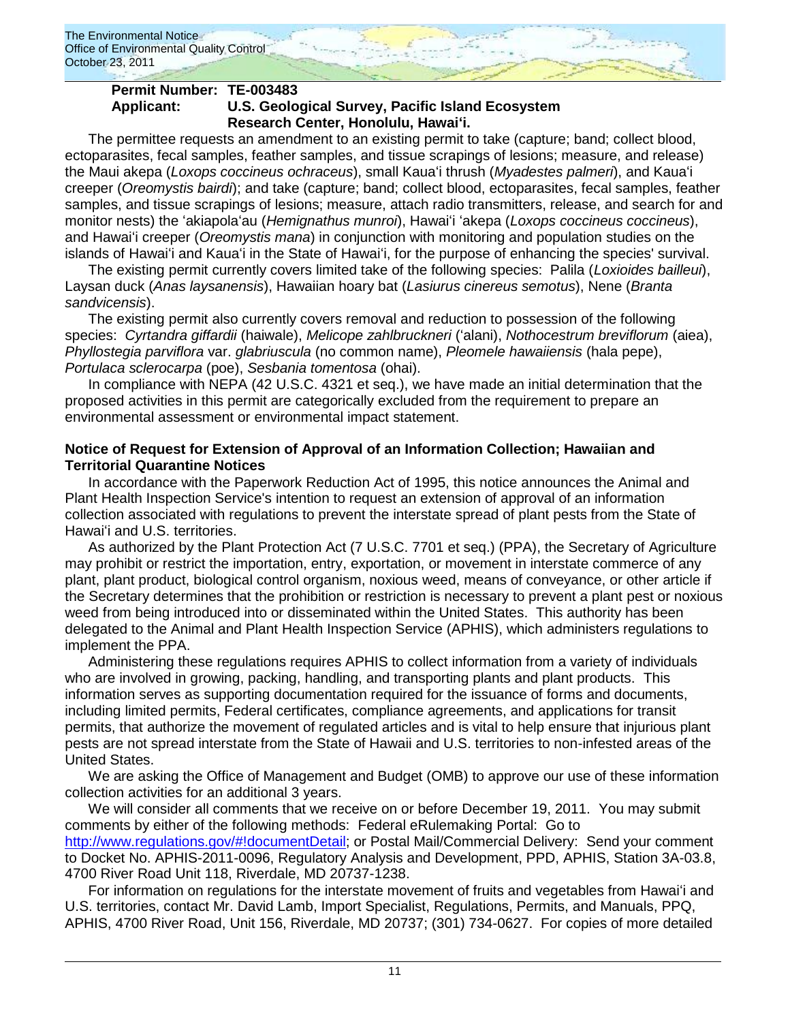

### **Permit Number: TE-003483 Applicant: U.S. Geological Survey, Pacific Island Ecosystem Research Center, Honolulu, Hawaiʻi.**

The permittee requests an amendment to an existing permit to take (capture; band; collect blood, ectoparasites, fecal samples, feather samples, and tissue scrapings of lesions; measure, and release) the Maui akepa (*Loxops coccineus ochraceus*), small Kauaʻi thrush (*Myadestes palmeri*), and Kauaʻi creeper (*Oreomystis bairdi*); and take (capture; band; collect blood, ectoparasites, fecal samples, feather samples, and tissue scrapings of lesions; measure, attach radio transmitters, release, and search for and monitor nests) the ʻakiapolaʻau (*Hemignathus munroi*), Hawaiʻi ʻakepa (*Loxops coccineus coccineus*), and Hawaiʻi creeper (*Oreomystis mana*) in conjunction with monitoring and population studies on the islands of Hawaiʻi and Kauaʻi in the State of Hawaiʻi, for the purpose of enhancing the species' survival.

The existing permit currently covers limited take of the following species: Palila (*Loxioides bailleui*), Laysan duck (*Anas laysanensis*), Hawaiian hoary bat (*Lasiurus cinereus semotus*), Nene (*Branta sandvicensis*).

The existing permit also currently covers removal and reduction to possession of the following species: *Cyrtandra giffardii* (haiwale), *Melicope zahlbruckneri* (ʻalani), *Nothocestrum breviflorum* (aiea), *Phyllostegia parviflora* var. *glabriuscula* (no common name), *Pleomele hawaiiensis* (hala pepe), *Portulaca sclerocarpa* (poe), *Sesbania tomentosa* (ohai).

In compliance with NEPA (42 U.S.C. 4321 et seq.), we have made an initial determination that the proposed activities in this permit are categorically excluded from the requirement to prepare an environmental assessment or environmental impact statement.

## **Notice of Request for Extension of Approval of an Information Collection; Hawaiian and Territorial Quarantine Notices**

In accordance with the Paperwork Reduction Act of 1995, this notice announces the Animal and Plant Health Inspection Service's intention to request an extension of approval of an information collection associated with regulations to prevent the interstate spread of plant pests from the State of Hawaiʻi and U.S. territories.

As authorized by the Plant Protection Act (7 U.S.C. 7701 et seq.) (PPA), the Secretary of Agriculture may prohibit or restrict the importation, entry, exportation, or movement in interstate commerce of any plant, plant product, biological control organism, noxious weed, means of conveyance, or other article if the Secretary determines that the prohibition or restriction is necessary to prevent a plant pest or noxious weed from being introduced into or disseminated within the United States. This authority has been delegated to the Animal and Plant Health Inspection Service (APHIS), which administers regulations to implement the PPA.

Administering these regulations requires APHIS to collect information from a variety of individuals who are involved in growing, packing, handling, and transporting plants and plant products. This information serves as supporting documentation required for the issuance of forms and documents, including limited permits, Federal certificates, compliance agreements, and applications for transit permits, that authorize the movement of regulated articles and is vital to help ensure that injurious plant pests are not spread interstate from the State of Hawaii and U.S. territories to non-infested areas of the United States.

We are asking the Office of Management and Budget (OMB) to approve our use of these information collection activities for an additional 3 years.

We will consider all comments that we receive on or before December 19, 2011. You may submit comments by either of the following methods: Federal eRulemaking Portal: Go to [http://www.regulations.gov/#!documentDetail;](http://www.regulations.gov/#!documentDetail) or Postal Mail/Commercial Delivery: Send your comment to Docket No. APHIS-2011-0096, Regulatory Analysis and Development, PPD, APHIS, Station 3A-03.8, 4700 River Road Unit 118, Riverdale, MD 20737-1238.

For information on regulations for the interstate movement of fruits and vegetables from Hawaiʻi and U.S. territories, contact Mr. David Lamb, Import Specialist, Regulations, Permits, and Manuals, PPQ, APHIS, 4700 River Road, Unit 156, Riverdale, MD 20737; (301) 734-0627. For copies of more detailed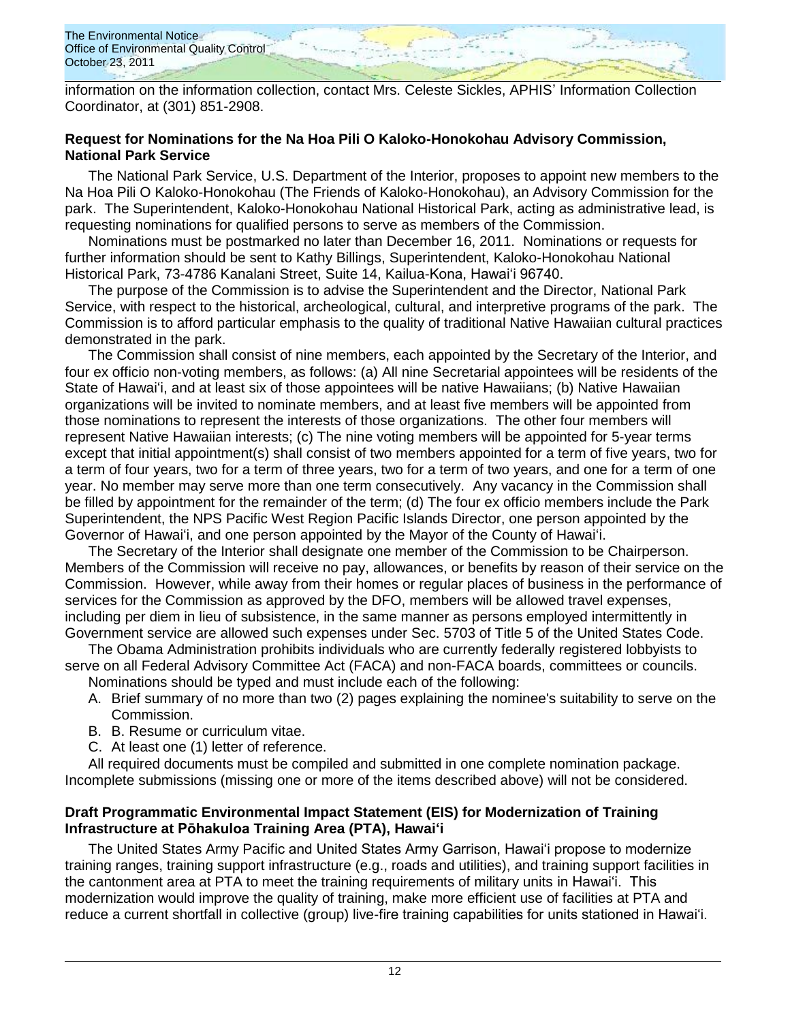

information on the information collection, contact Mrs. Celeste Sickles, APHIS" Information Collection Coordinator, at (301) 851-2908.

## **Request for Nominations for the Na Hoa Pili O Kaloko-Honokohau Advisory Commission, National Park Service**

The National Park Service, U.S. Department of the Interior, proposes to appoint new members to the Na Hoa Pili O Kaloko-Honokohau (The Friends of Kaloko-Honokohau), an Advisory Commission for the park. The Superintendent, Kaloko-Honokohau National Historical Park, acting as administrative lead, is requesting nominations for qualified persons to serve as members of the Commission.

Nominations must be postmarked no later than December 16, 2011. Nominations or requests for further information should be sent to Kathy Billings, Superintendent, Kaloko-Honokohau National Historical Park, 73-4786 Kanalani Street, Suite 14, Kailua-Kona, Hawaiʻi 96740.

The purpose of the Commission is to advise the Superintendent and the Director, National Park Service, with respect to the historical, archeological, cultural, and interpretive programs of the park. The Commission is to afford particular emphasis to the quality of traditional Native Hawaiian cultural practices demonstrated in the park.

The Commission shall consist of nine members, each appointed by the Secretary of the Interior, and four ex officio non-voting members, as follows: (a) All nine Secretarial appointees will be residents of the State of Hawaiʻi, and at least six of those appointees will be native Hawaiians; (b) Native Hawaiian organizations will be invited to nominate members, and at least five members will be appointed from those nominations to represent the interests of those organizations. The other four members will represent Native Hawaiian interests; (c) The nine voting members will be appointed for 5-year terms except that initial appointment(s) shall consist of two members appointed for a term of five years, two for a term of four years, two for a term of three years, two for a term of two years, and one for a term of one year. No member may serve more than one term consecutively. Any vacancy in the Commission shall be filled by appointment for the remainder of the term; (d) The four ex officio members include the Park Superintendent, the NPS Pacific West Region Pacific Islands Director, one person appointed by the Governor of Hawaiʻi, and one person appointed by the Mayor of the County of Hawaiʻi.

The Secretary of the Interior shall designate one member of the Commission to be Chairperson. Members of the Commission will receive no pay, allowances, or benefits by reason of their service on the Commission. However, while away from their homes or regular places of business in the performance of services for the Commission as approved by the DFO, members will be allowed travel expenses, including per diem in lieu of subsistence, in the same manner as persons employed intermittently in Government service are allowed such expenses under Sec. 5703 of Title 5 of the United States Code.

The Obama Administration prohibits individuals who are currently federally registered lobbyists to serve on all Federal Advisory Committee Act (FACA) and non-FACA boards, committees or councils.

Nominations should be typed and must include each of the following:

- A. Brief summary of no more than two (2) pages explaining the nominee's suitability to serve on the Commission.
- B. B. Resume or curriculum vitae.
- C. At least one (1) letter of reference.

All required documents must be compiled and submitted in one complete nomination package. Incomplete submissions (missing one or more of the items described above) will not be considered.

## **Draft Programmatic Environmental Impact Statement (EIS) for Modernization of Training Infrastructure at Pōhakuloa Training Area (PTA), Hawaiʻi**

The United States Army Pacific and United States Army Garrison, Hawaiʻi propose to modernize training ranges, training support infrastructure (e.g., roads and utilities), and training support facilities in the cantonment area at PTA to meet the training requirements of military units in Hawaiʻi. This modernization would improve the quality of training, make more efficient use of facilities at PTA and reduce a current shortfall in collective (group) live-fire training capabilities for units stationed in Hawaiʻi.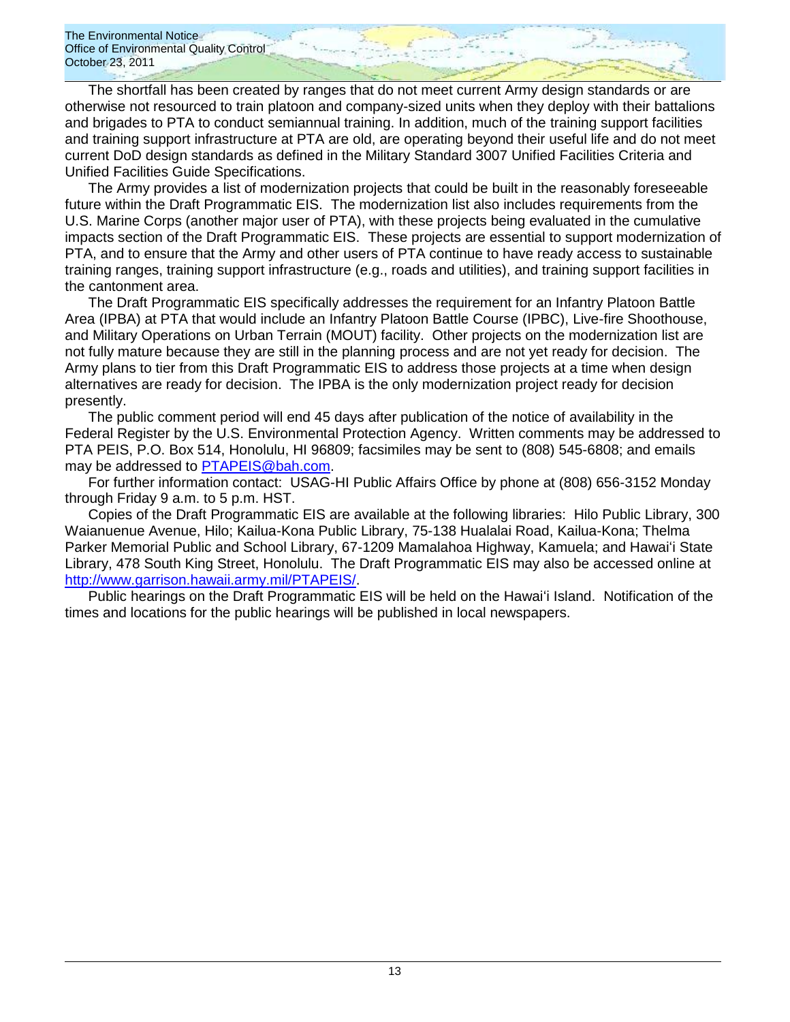The shortfall has been created by ranges that do not meet current Army design standards or are otherwise not resourced to train platoon and company-sized units when they deploy with their battalions and brigades to PTA to conduct semiannual training. In addition, much of the training support facilities and training support infrastructure at PTA are old, are operating beyond their useful life and do not meet current DoD design standards as defined in the Military Standard 3007 Unified Facilities Criteria and Unified Facilities Guide Specifications.

The Army provides a list of modernization projects that could be built in the reasonably foreseeable future within the Draft Programmatic EIS. The modernization list also includes requirements from the U.S. Marine Corps (another major user of PTA), with these projects being evaluated in the cumulative impacts section of the Draft Programmatic EIS. These projects are essential to support modernization of PTA, and to ensure that the Army and other users of PTA continue to have ready access to sustainable training ranges, training support infrastructure (e.g., roads and utilities), and training support facilities in the cantonment area.

The Draft Programmatic EIS specifically addresses the requirement for an Infantry Platoon Battle Area (IPBA) at PTA that would include an Infantry Platoon Battle Course (IPBC), Live-fire Shoothouse, and Military Operations on Urban Terrain (MOUT) facility. Other projects on the modernization list are not fully mature because they are still in the planning process and are not yet ready for decision. The Army plans to tier from this Draft Programmatic EIS to address those projects at a time when design alternatives are ready for decision. The IPBA is the only modernization project ready for decision presently.

The public comment period will end 45 days after publication of the notice of availability in the Federal Register by the U.S. Environmental Protection Agency. Written comments may be addressed to PTA PEIS, P.O. Box 514, Honolulu, HI 96809; facsimiles may be sent to (808) 545-6808; and emails may be addressed to [PTAPEIS@bah.com.](mailto:PTAPEIS@bah.com)

For further information contact: USAG-HI Public Affairs Office by phone at (808) 656-3152 Monday through Friday 9 a.m. to 5 p.m. HST.

Copies of the Draft Programmatic EIS are available at the following libraries: Hilo Public Library, 300 Waianuenue Avenue, Hilo; Kailua-Kona Public Library, 75-138 Hualalai Road, Kailua-Kona; Thelma Parker Memorial Public and School Library, 67-1209 Mamalahoa Highway, Kamuela; and Hawaiʻi State Library, 478 South King Street, Honolulu. The Draft Programmatic EIS may also be accessed online at [http://www.garrison.hawaii.army.mil/PTAPEIS/.](http://www.garrison.hawaii.army.mil/PTAPEIS/)

Public hearings on the Draft Programmatic EIS will be held on the Hawaiʻi Island. Notification of the times and locations for the public hearings will be published in local newspapers.